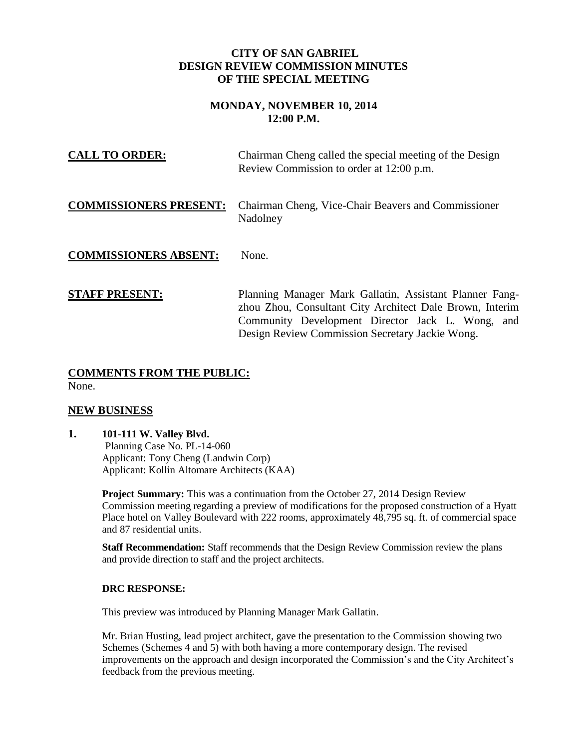### **CITY OF SAN GABRIEL DESIGN REVIEW COMMISSION MINUTES OF THE SPECIAL MEETING**

# **MONDAY, NOVEMBER 10, 2014 12:00 P.M.**

| <b>CALL TO ORDER:</b>         | Chairman Cheng called the special meeting of the Design<br>Review Commission to order at 12:00 p.m.                                                                                                                        |
|-------------------------------|----------------------------------------------------------------------------------------------------------------------------------------------------------------------------------------------------------------------------|
| <b>COMMISSIONERS PRESENT:</b> | Chairman Cheng, Vice-Chair Beavers and Commissioner<br>Nadolney                                                                                                                                                            |
| <b>COMMISSIONERS ABSENT:</b>  | None.                                                                                                                                                                                                                      |
| <b>STAFF PRESENT:</b>         | Planning Manager Mark Gallatin, Assistant Planner Fang-<br>zhou Zhou, Consultant City Architect Dale Brown, Interim<br>Community Development Director Jack L. Wong, and<br>Design Review Commission Secretary Jackie Wong. |

### **COMMENTS FROM THE PUBLIC:** None.

## **NEW BUSINESS**

**1. 101-111 W. Valley Blvd.** Planning Case No. PL-14-060 Applicant: Tony Cheng (Landwin Corp) Applicant: Kollin Altomare Architects (KAA)

> **Project Summary:** This was a continuation from the October 27, 2014 Design Review Commission meeting regarding a preview of modifications for the proposed construction of a Hyatt Place hotel on Valley Boulevard with 222 rooms, approximately 48,795 sq. ft. of commercial space and 87 residential units.

**Staff Recommendation:** Staff recommends that the Design Review Commission review the plans and provide direction to staff and the project architects.

### **DRC RESPONSE:**

This preview was introduced by Planning Manager Mark Gallatin.

Mr. Brian Husting, lead project architect, gave the presentation to the Commission showing two Schemes (Schemes 4 and 5) with both having a more contemporary design. The revised improvements on the approach and design incorporated the Commission's and the City Architect's feedback from the previous meeting.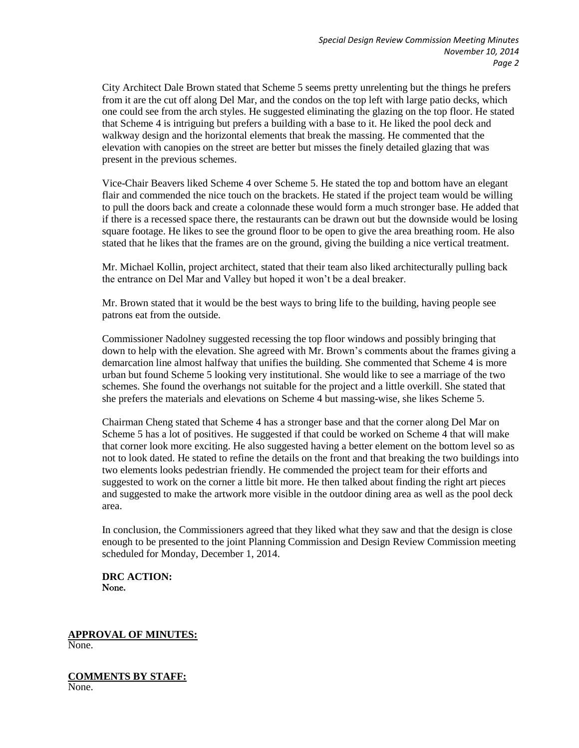City Architect Dale Brown stated that Scheme 5 seems pretty unrelenting but the things he prefers from it are the cut off along Del Mar, and the condos on the top left with large patio decks, which one could see from the arch styles. He suggested eliminating the glazing on the top floor. He stated that Scheme 4 is intriguing but prefers a building with a base to it. He liked the pool deck and walkway design and the horizontal elements that break the massing. He commented that the elevation with canopies on the street are better but misses the finely detailed glazing that was present in the previous schemes.

Vice-Chair Beavers liked Scheme 4 over Scheme 5. He stated the top and bottom have an elegant flair and commended the nice touch on the brackets. He stated if the project team would be willing to pull the doors back and create a colonnade these would form a much stronger base. He added that if there is a recessed space there, the restaurants can be drawn out but the downside would be losing square footage. He likes to see the ground floor to be open to give the area breathing room. He also stated that he likes that the frames are on the ground, giving the building a nice vertical treatment.

Mr. Michael Kollin, project architect, stated that their team also liked architecturally pulling back the entrance on Del Mar and Valley but hoped it won't be a deal breaker.

Mr. Brown stated that it would be the best ways to bring life to the building, having people see patrons eat from the outside.

Commissioner Nadolney suggested recessing the top floor windows and possibly bringing that down to help with the elevation. She agreed with Mr. Brown's comments about the frames giving a demarcation line almost halfway that unifies the building. She commented that Scheme 4 is more urban but found Scheme 5 looking very institutional. She would like to see a marriage of the two schemes. She found the overhangs not suitable for the project and a little overkill. She stated that she prefers the materials and elevations on Scheme 4 but massing-wise, she likes Scheme 5.

Chairman Cheng stated that Scheme 4 has a stronger base and that the corner along Del Mar on Scheme 5 has a lot of positives. He suggested if that could be worked on Scheme 4 that will make that corner look more exciting. He also suggested having a better element on the bottom level so as not to look dated. He stated to refine the details on the front and that breaking the two buildings into two elements looks pedestrian friendly. He commended the project team for their efforts and suggested to work on the corner a little bit more. He then talked about finding the right art pieces and suggested to make the artwork more visible in the outdoor dining area as well as the pool deck area.

In conclusion, the Commissioners agreed that they liked what they saw and that the design is close enough to be presented to the joint Planning Commission and Design Review Commission meeting scheduled for Monday, December 1, 2014.

**DRC ACTION:**  None.

**APPROVAL OF MINUTES:** None.

**COMMENTS BY STAFF:** None.